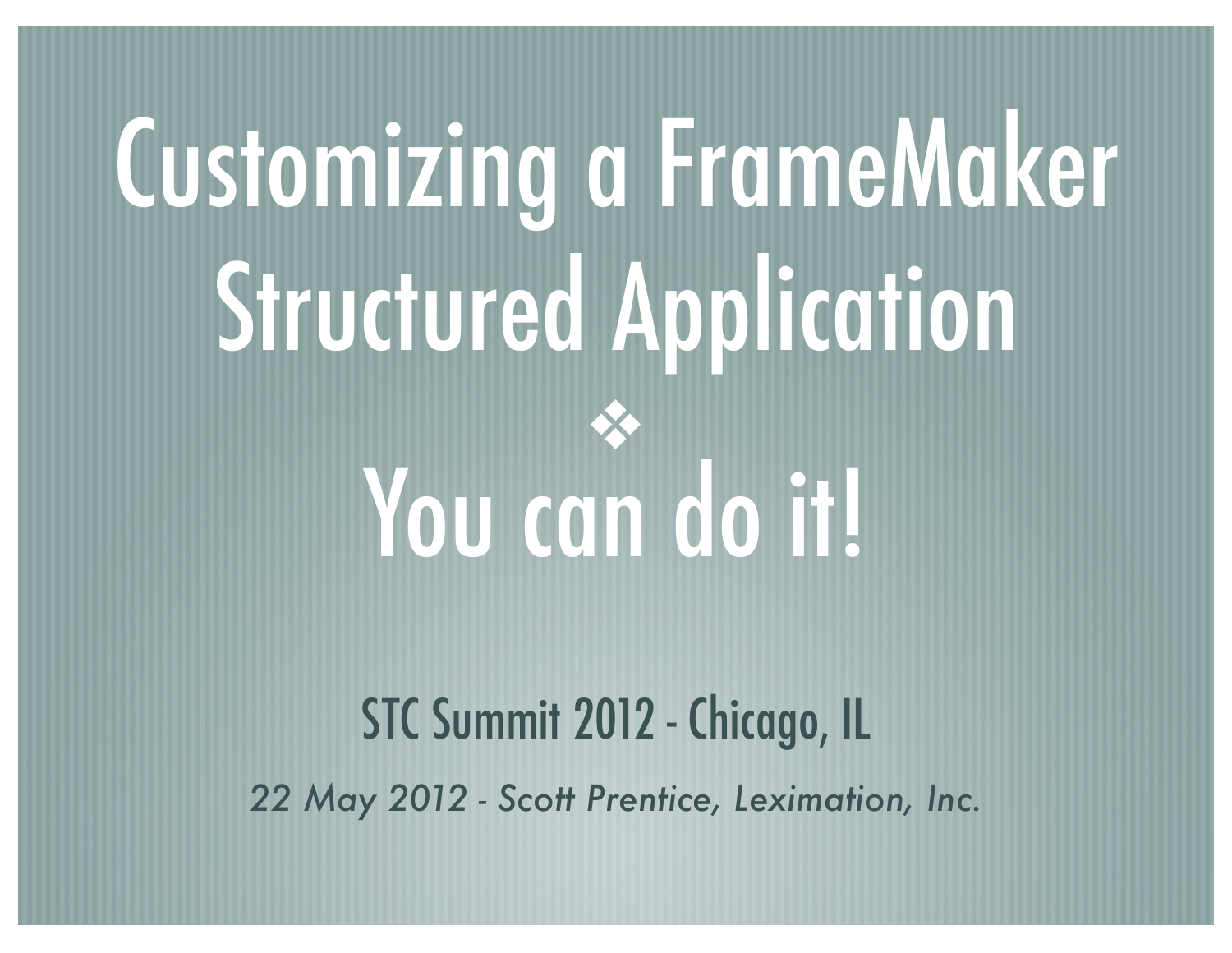## Customizing a FrameMaker Structured Application ❖ You can do it!

#### STC Summit 2012 - Chicago, IL *22 May 2012 - Scott Prentice, Leximation, Inc.*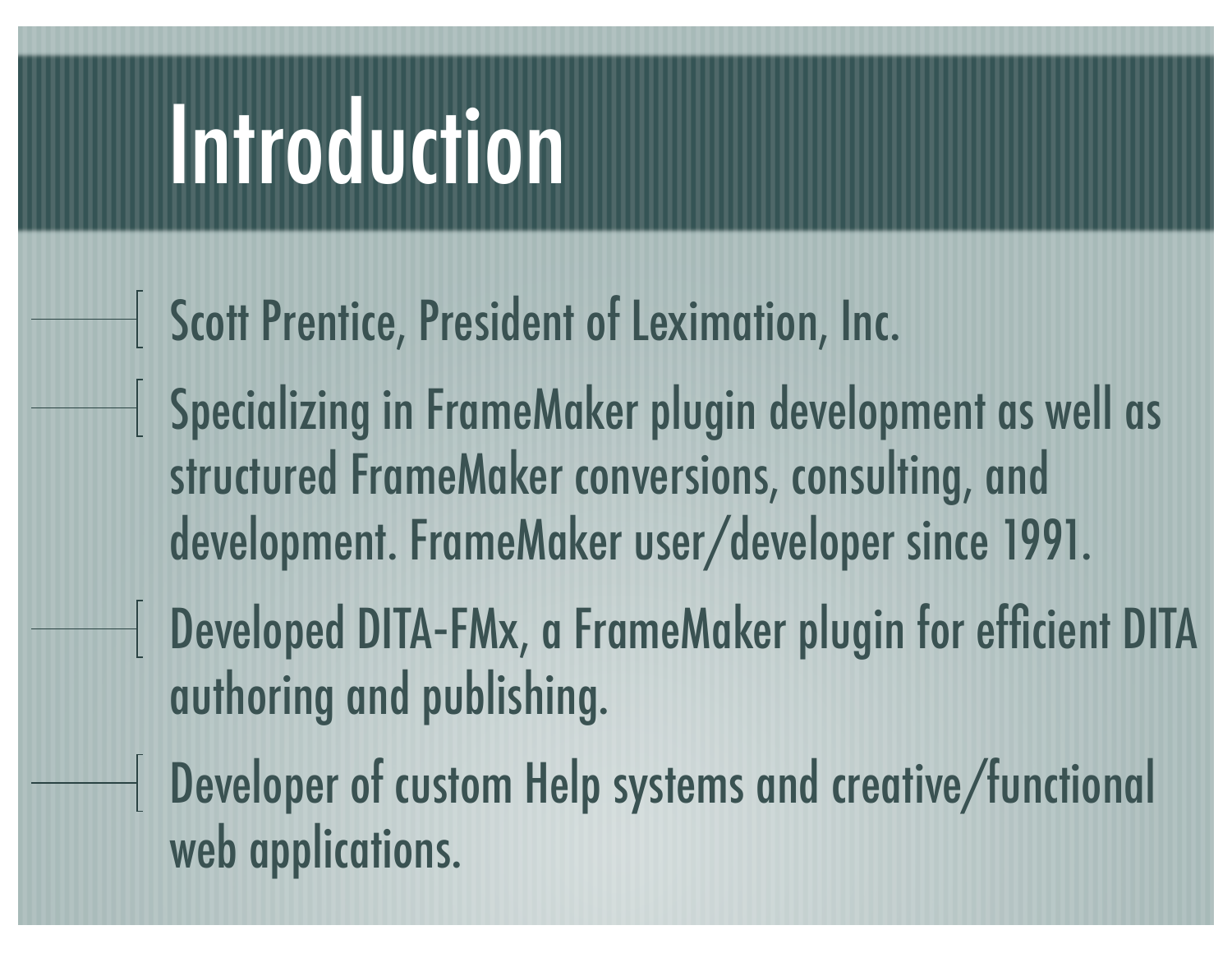### Introduction

- Scott Prentice, President of Leximation, Inc.
- Specializing in FrameMaker plugin development as well as structured FrameMaker conversions, consulting, and development. FrameMaker user/developer since 1991.
- Developed DITA‐FMx, a FrameMaker plugin for efficient DITA authoring and publishing.
	- Developer of custom Help systems and creative/functional web applications.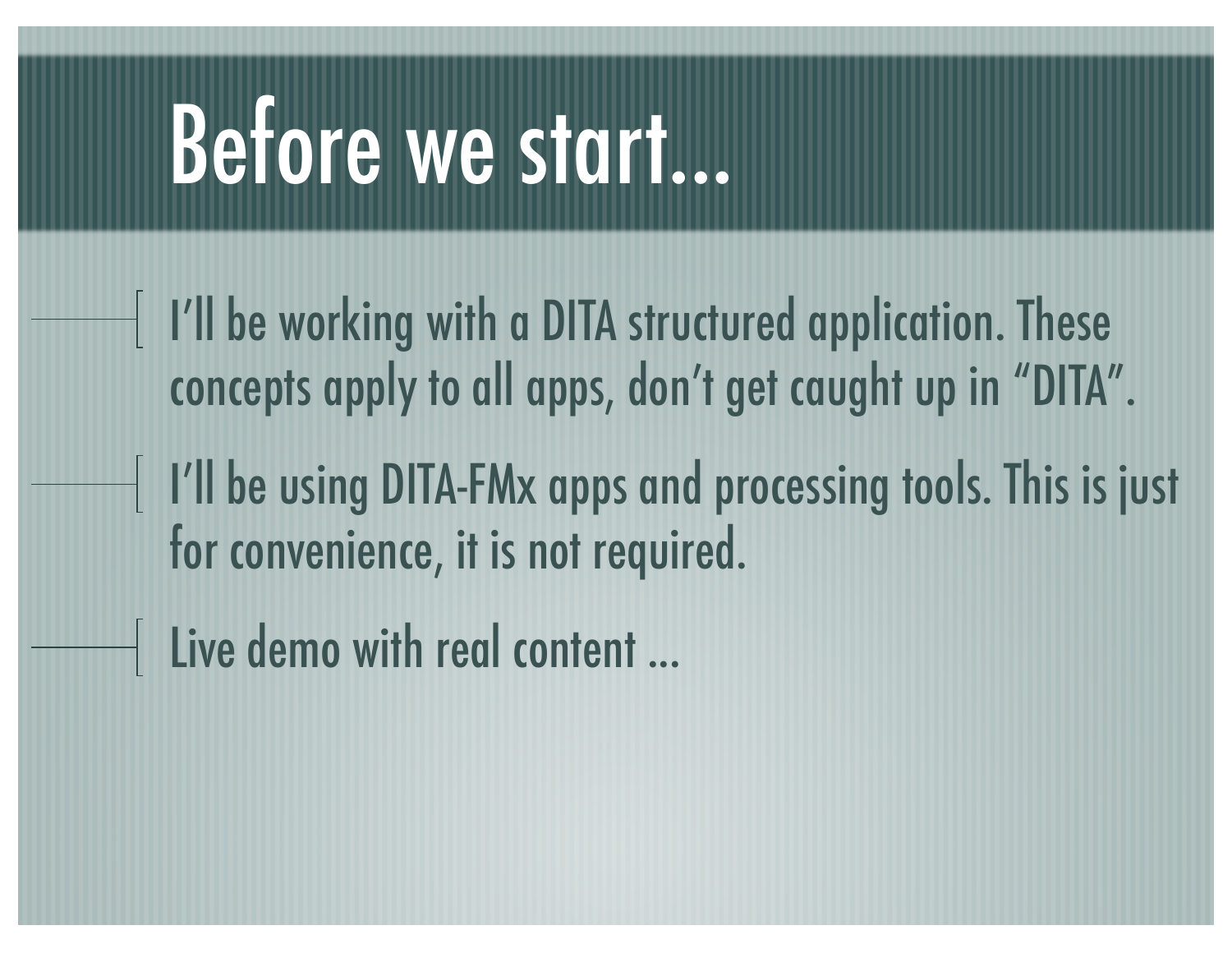#### Before we start...

- I'll be working with a DITA structured application. These concepts apply to all apps, don't get caught up in "DITA".
- I'll be using DITA-FMx apps and processing tools. This is just for convenience, it is not required.
- Eive demo with real content ...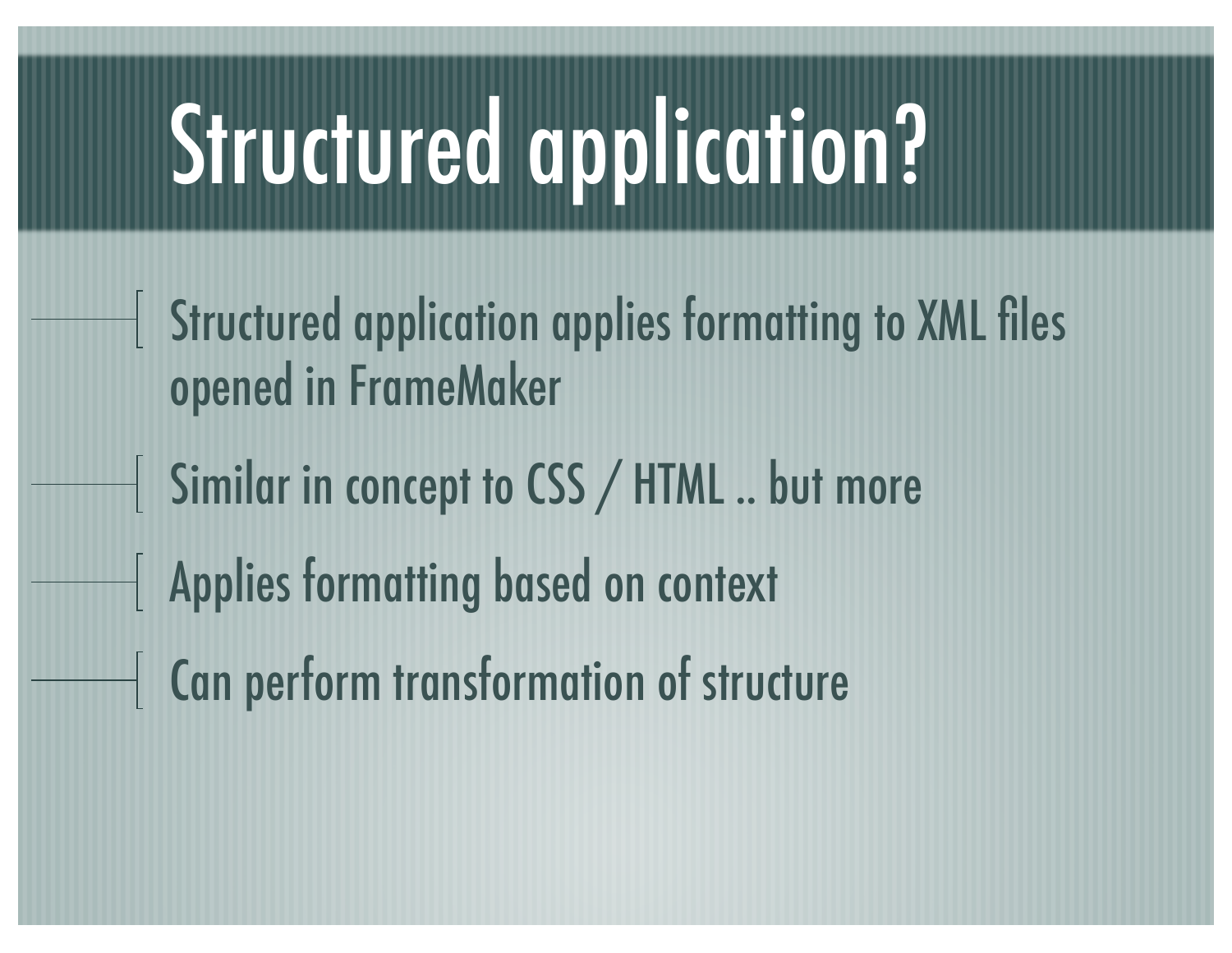## Structured application?

- Structured application applies formatting to XML files opened in FrameMaker
- Similar in concept to CSS / HTML .. but more
- Applies formatting based on context
- Can perform transformation of structure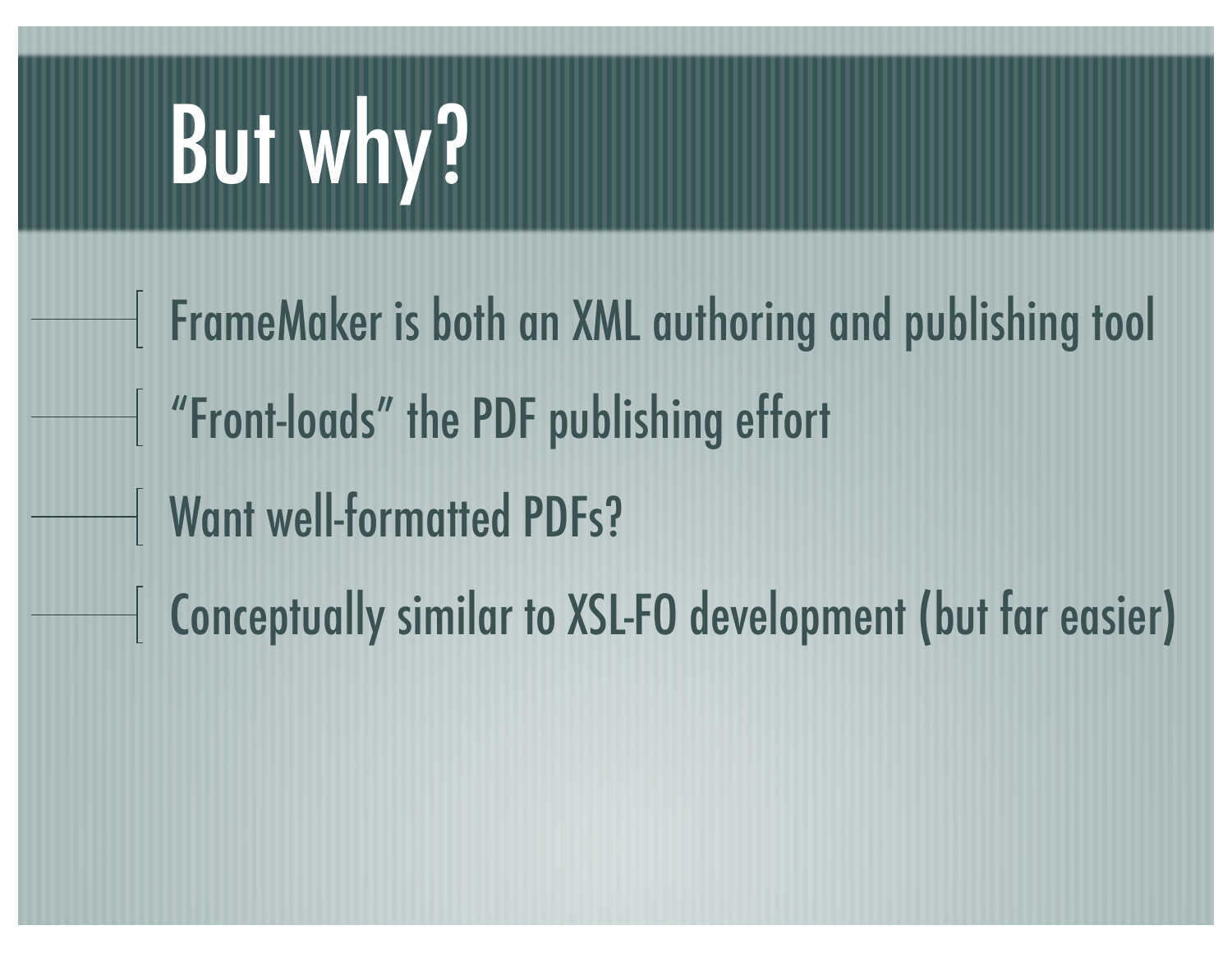## But why?

FrameMaker is both an XML authoring and publishing tool "Front-loads" the PDF publishing effort Want well-formatted PDFs? Conceptually similar to XSL-FO development (but far easier)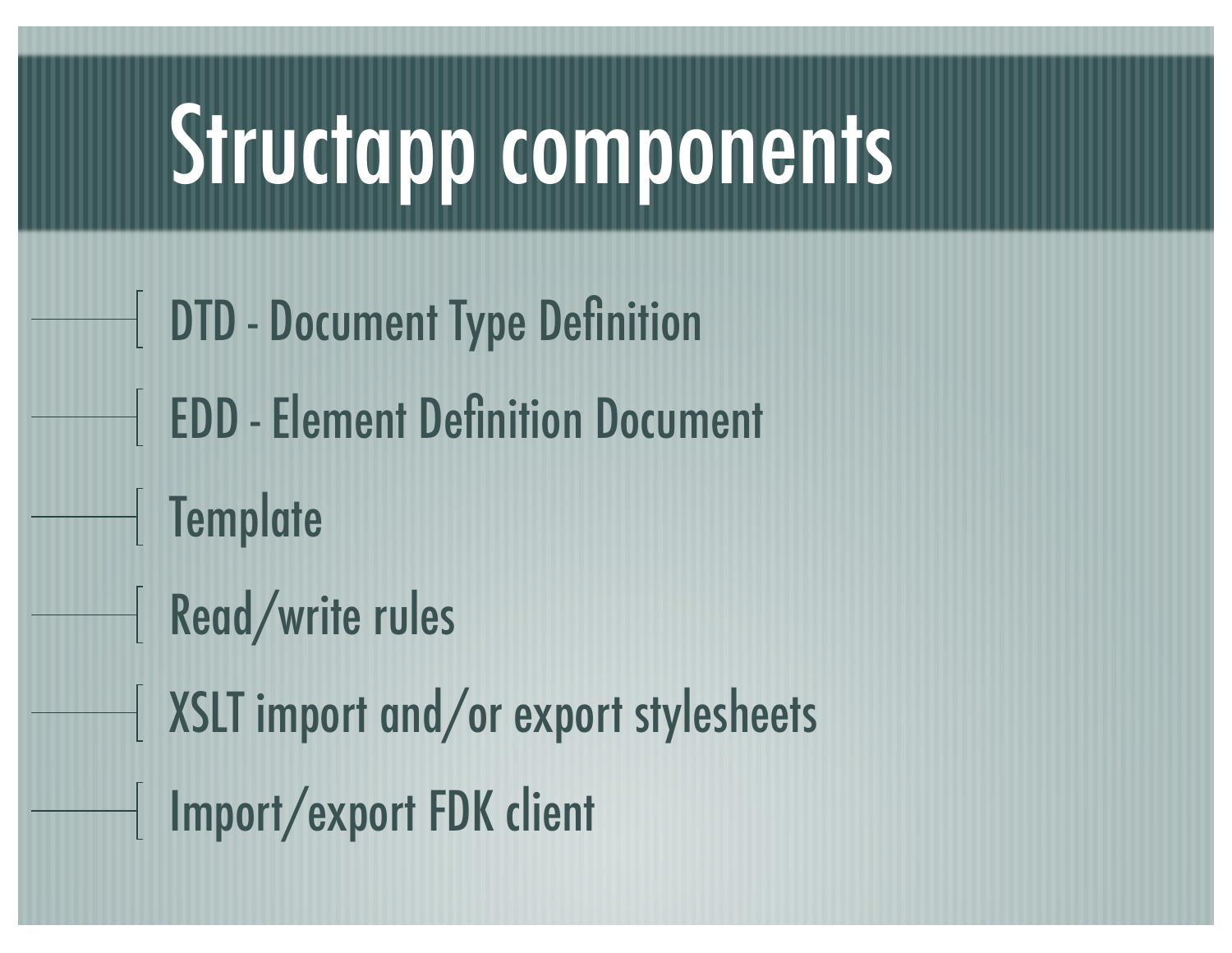#### Structapp components

- DTD Document Type Definition FIEDD - Element Definition Document
- Template
- Read/write rules
- XSLT import and/or export stylesheets
- | Import/export FDK client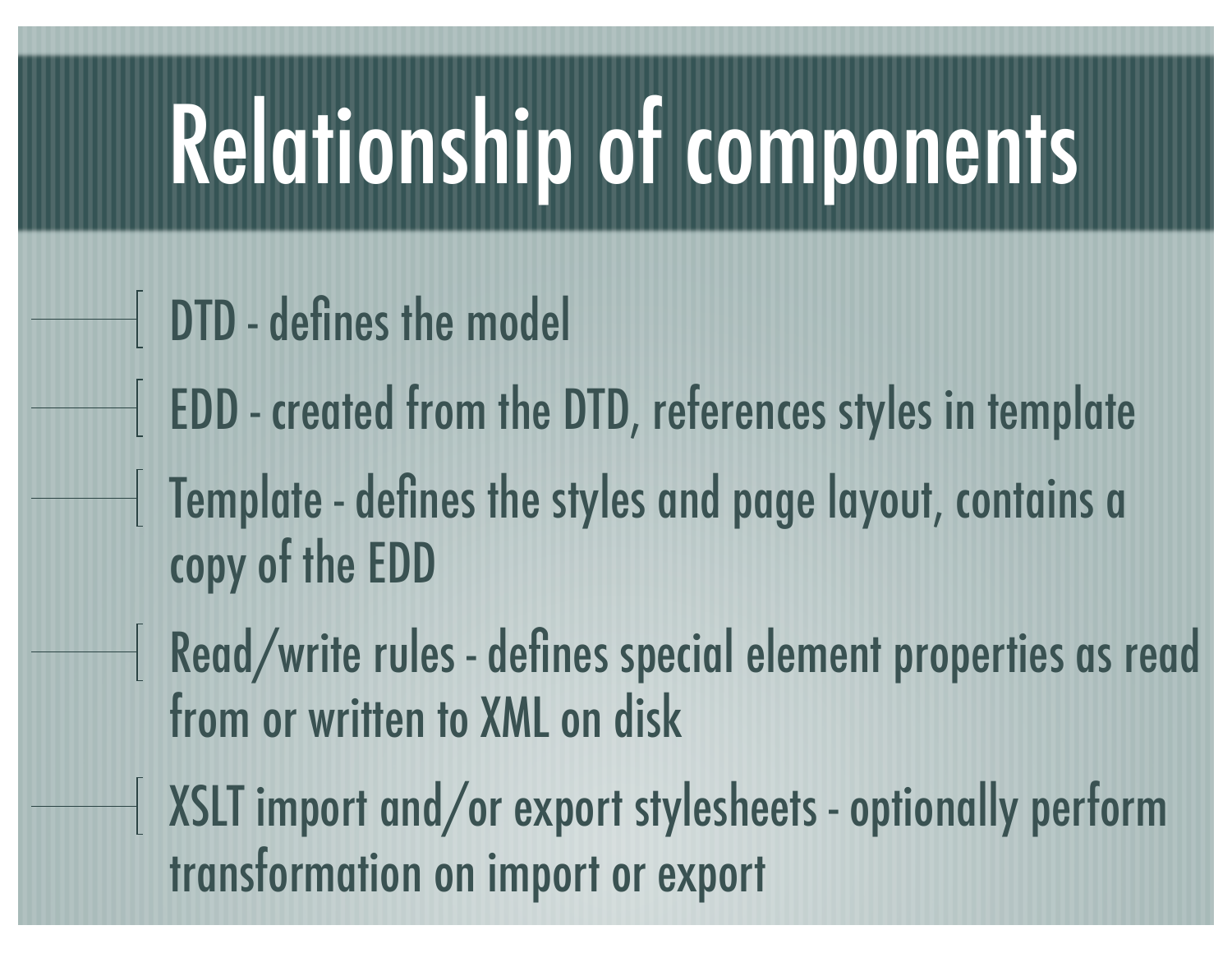## Relationship of components

- DTD defines the model
- EDD created from the DTD, references styles in template
- Template defines the styles and page layout, contains a copy of the EDD
- Read/write rules defines special element properties as read from or written to XML on disk
- XSLT import and/or export stylesheets optionally perform transformation on import or export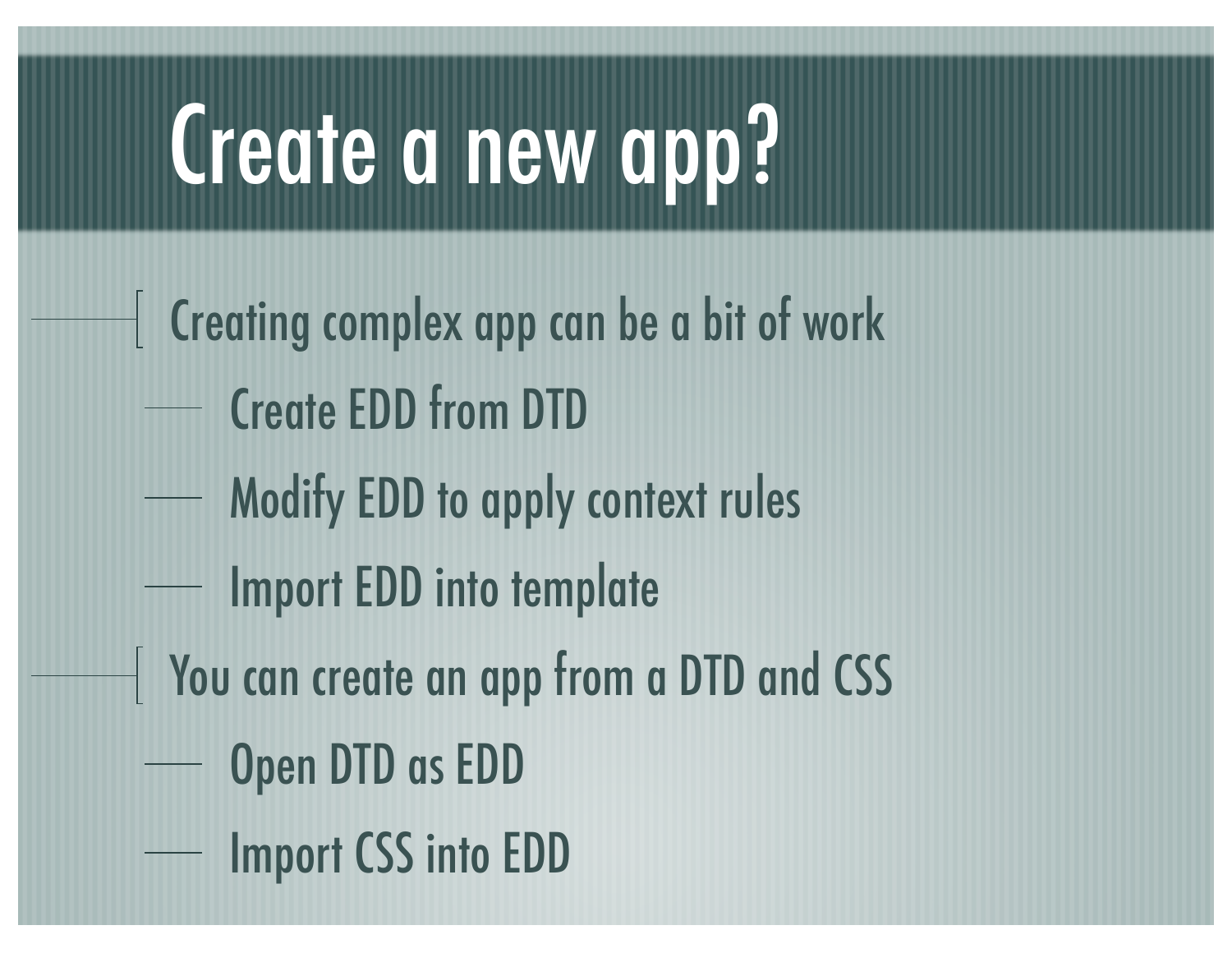#### Create a new app?

- $\perp$  Creating complex app can be a bit of work
	- Create EDD from DTD
	- Modify EDD to apply context rules
	- Import EDD into template
- You can create an app from a DTD and CSS
	- Open DTD as EDD
	- Import CSS into EDD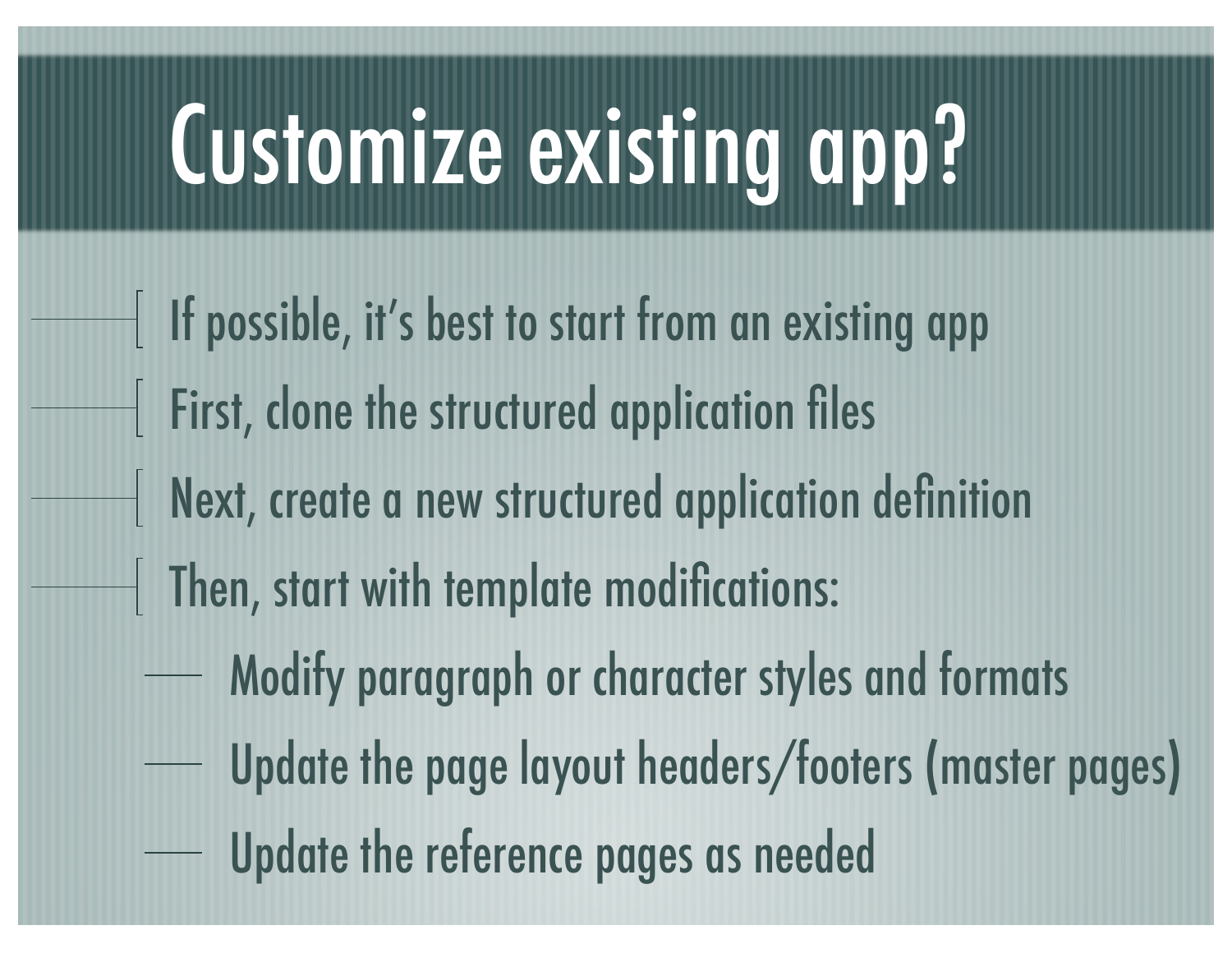## Customize existing app?

- If possible, it's best to start from an existing app First, clone the structured application files Next, create a new structured application definition Then, start with template modifications: Modify paragraph or character styles and formats Update the page layout headers/footers (master pages)
	- Update the reference pages as needed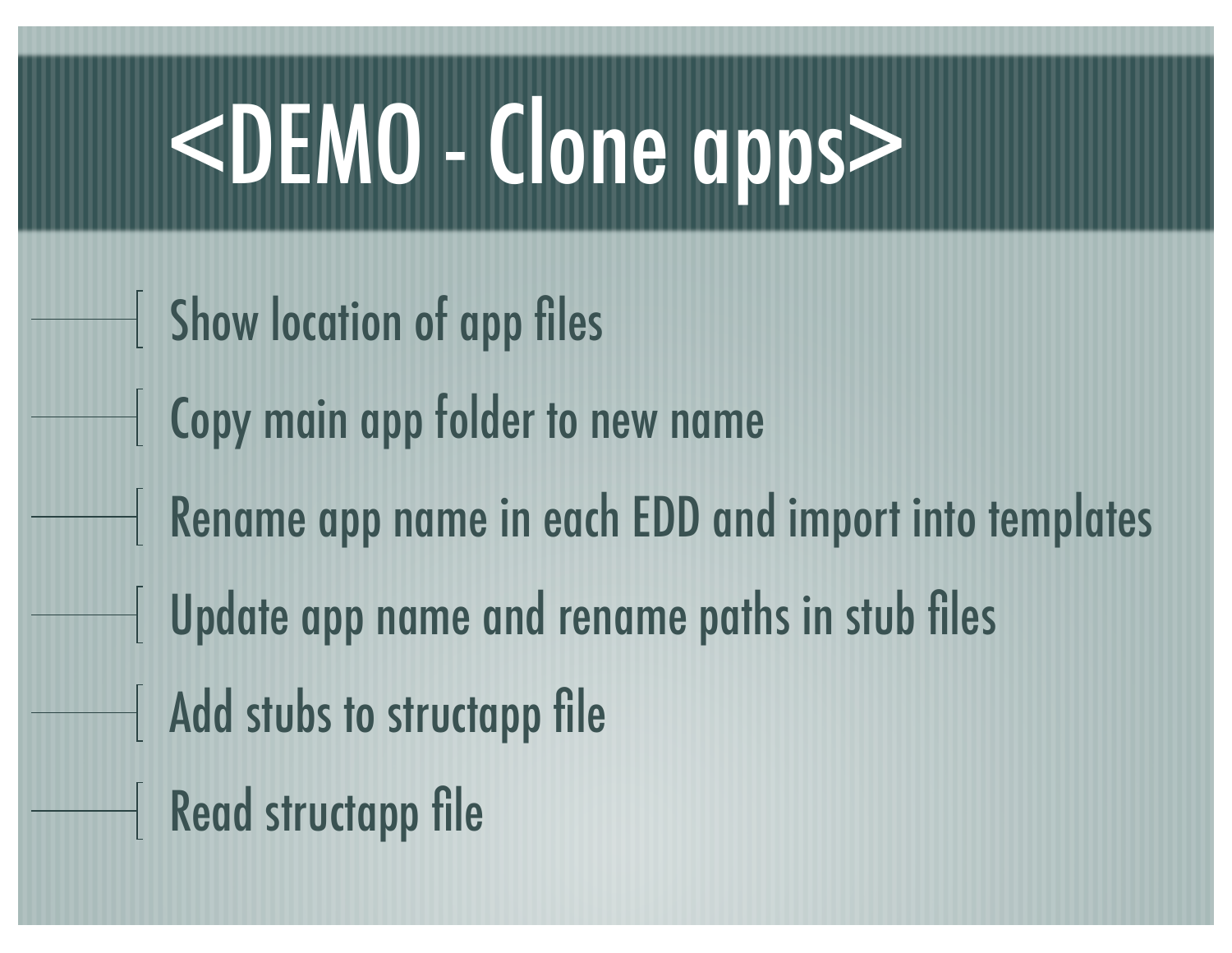# <DEMO - Clone apps>

- Show location of app files
- Copy main app folder to new name
- Rename app name in each EDD and import into templates
	- Update app name and rename paths in stub files
- Add stubs to structapp file
- Read structapp file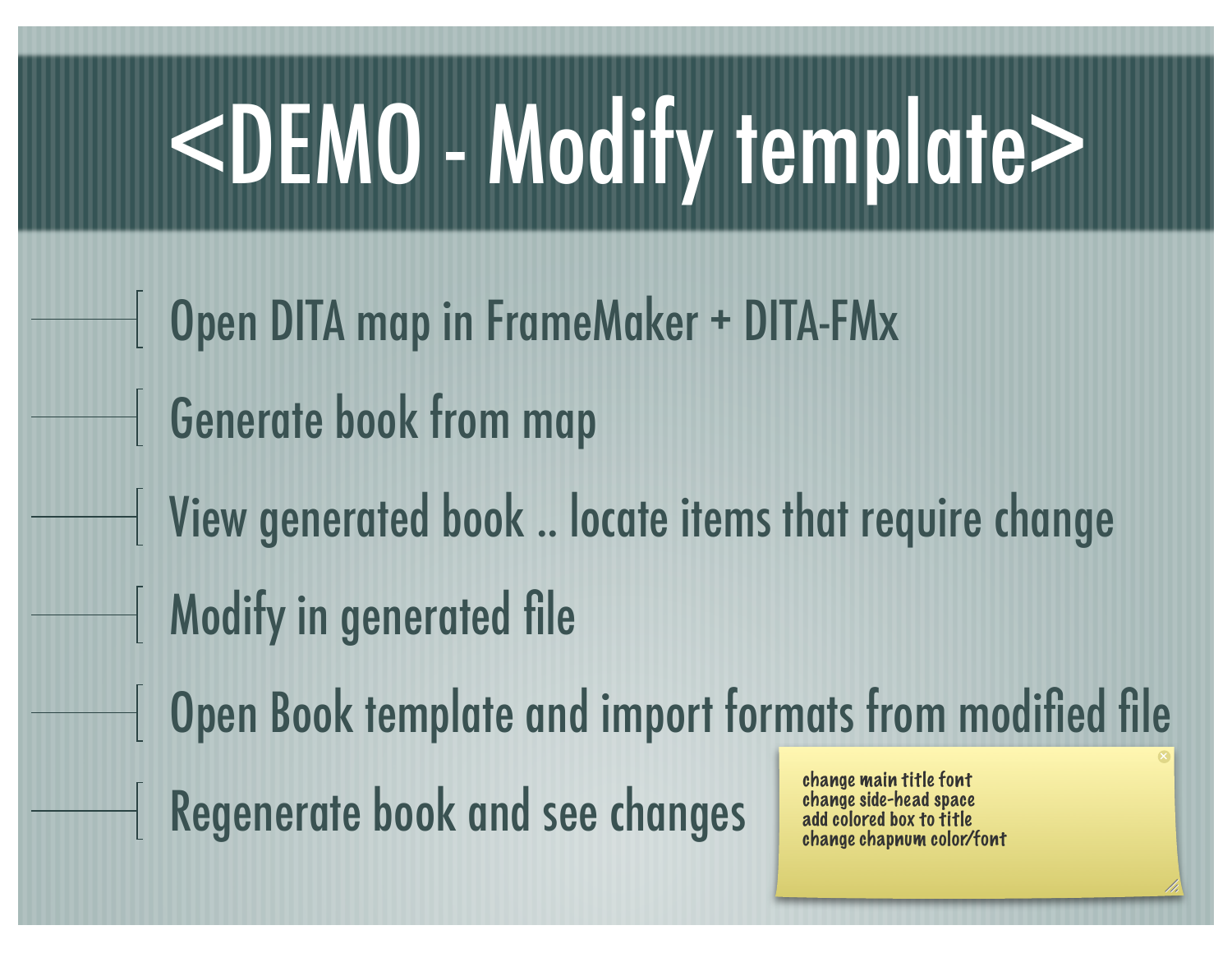# <DEMO - Modify template>

Open DITA map in FrameMaker + DITA-FMx Generate book from map View generated book .. locate items that require change Modify in generated file Open Book template and import formats from modified file Change main title font<br>Regenerate book and see changes and colored box to title change side-head space add colored box to title change chapnum color/font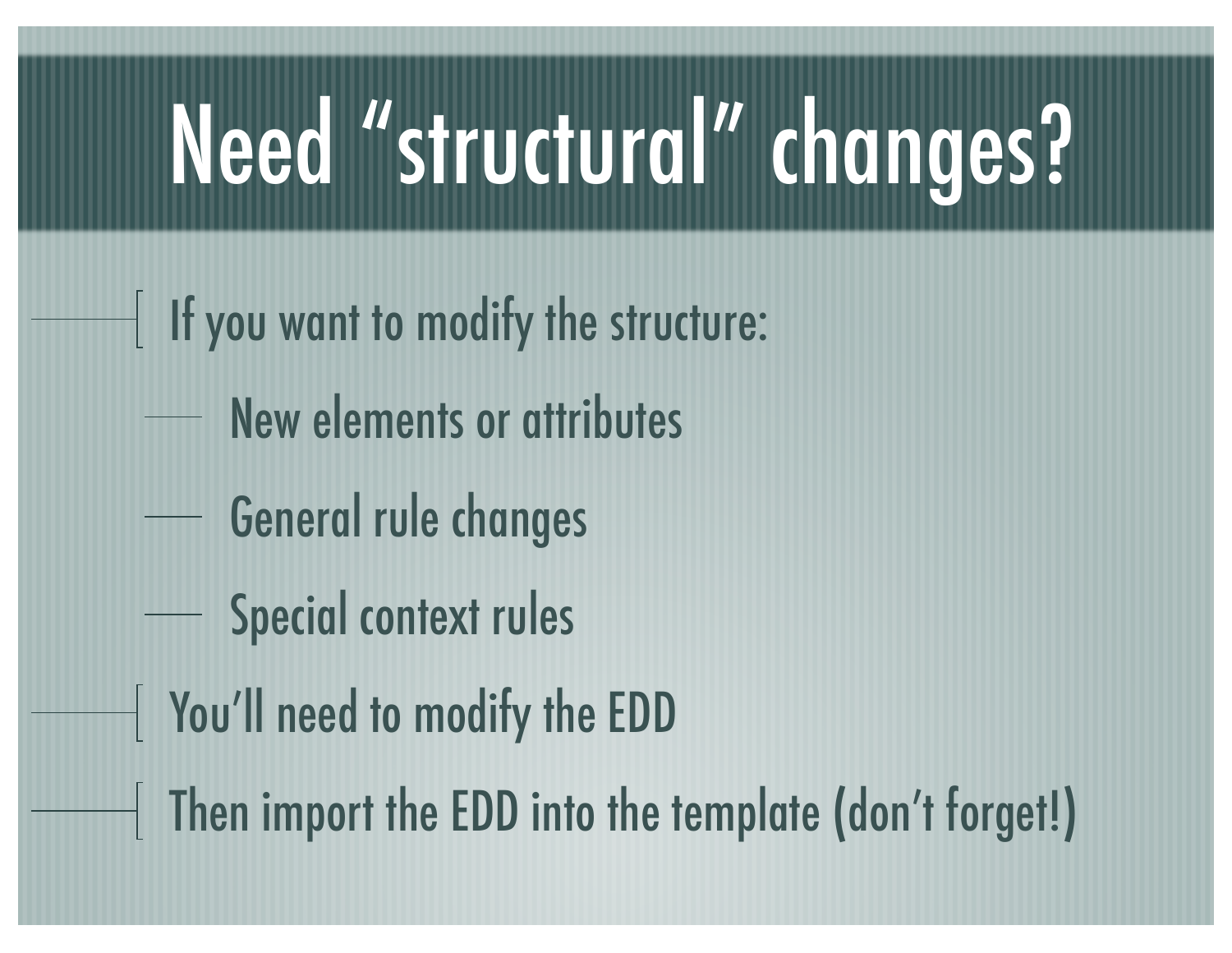## Need "structural" changes?

- If you want to modify the structure:
	- New elements or attributes
	- General rule changes
	- Special context rules
- You'll need to modify the EDD
- Then import the EDD into the template (don't forget!)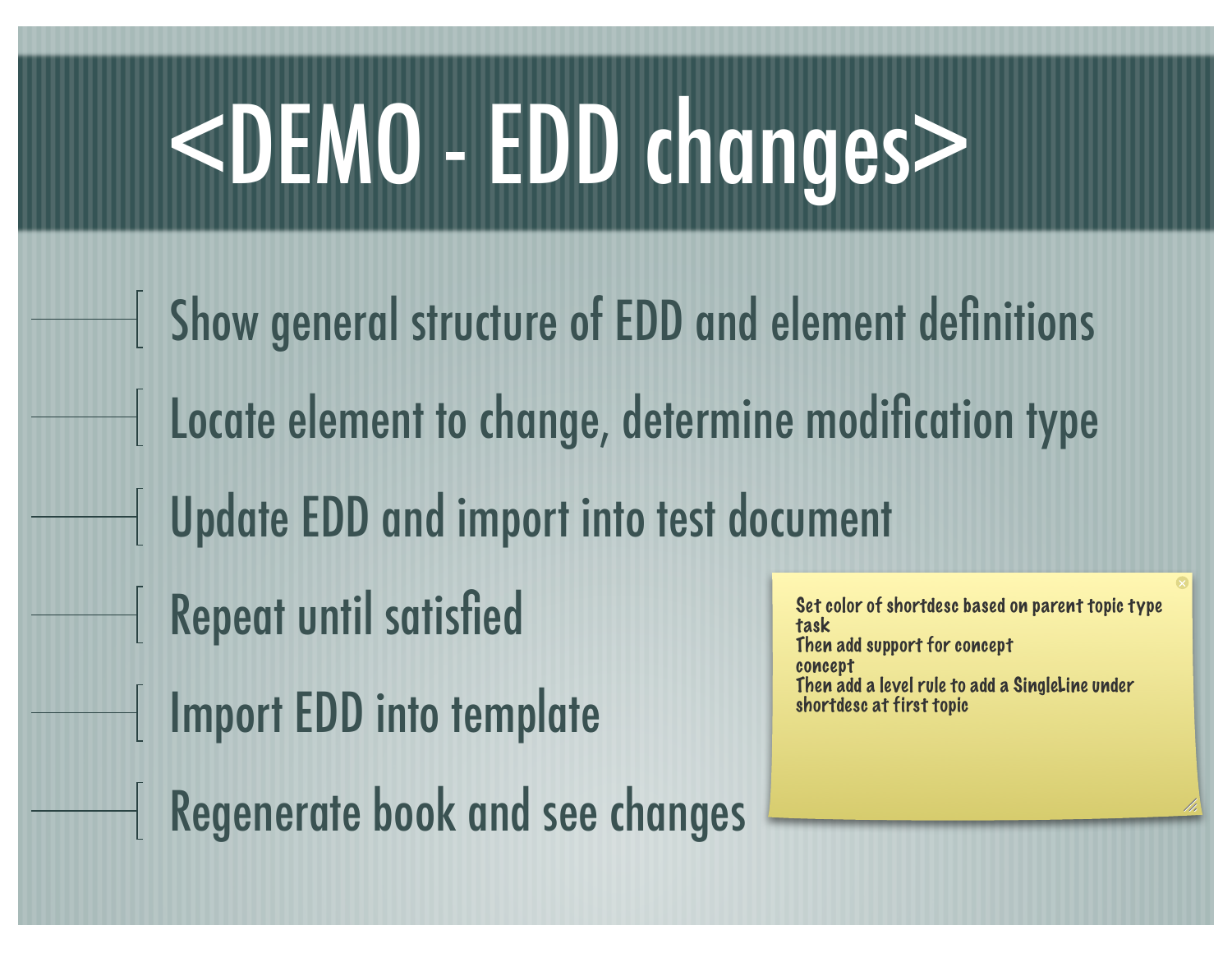# <DEMO - EDD changes>

Show general structure of EDD and element definitions Locate element to change, determine modification type Update EDD and import into test document Repeat until satisfied Import EDD into template Regenerate book and see changes Set color of shortdesc based on parent topic type task Then add support for concept concept Then add a level rule to add a SingleLine under shortdesc at first topic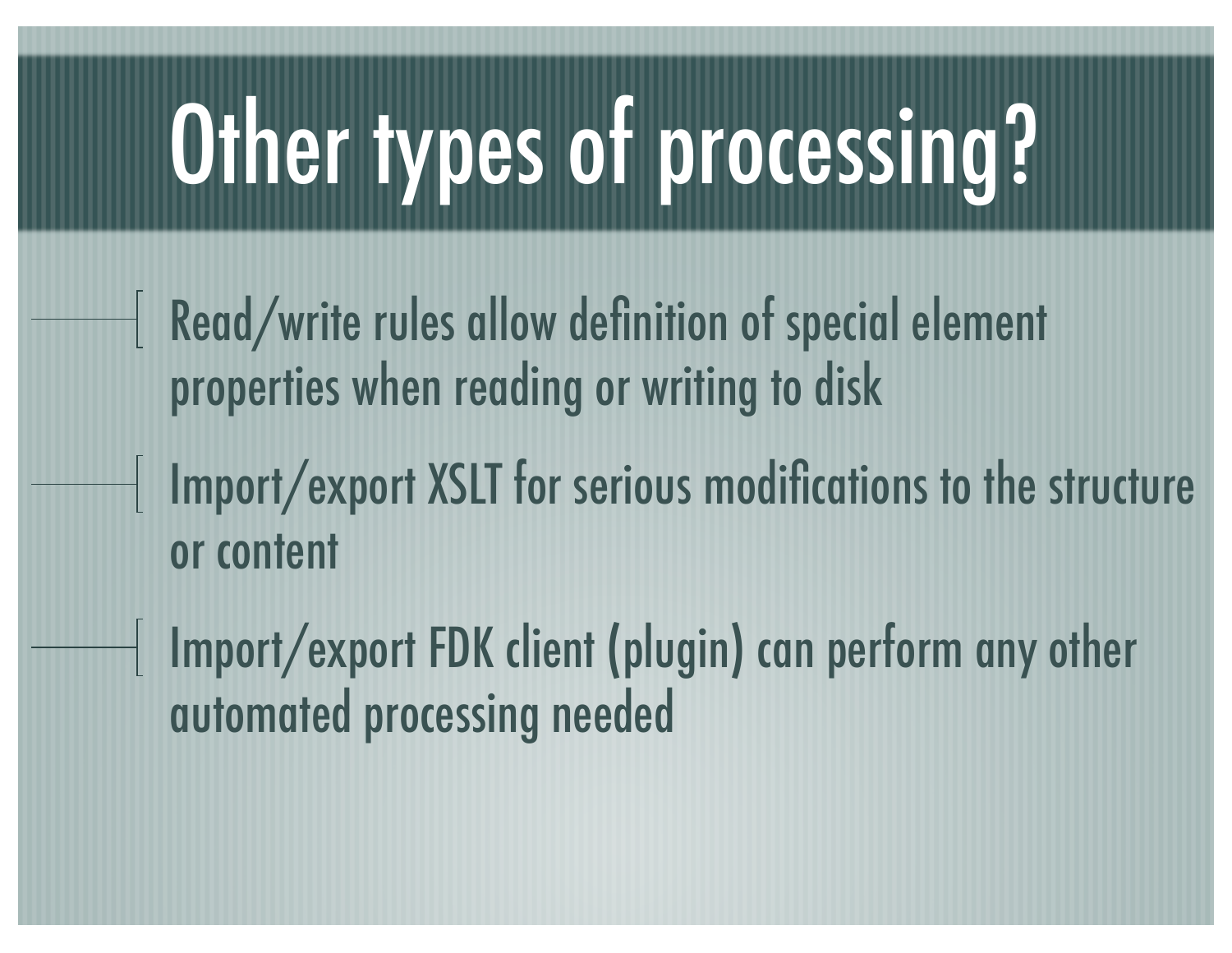# Other types of processing?

- Read/write rules allow definition of special element properties when reading or writing to disk
	- Import/export XSLT for serious modifications to the structure or content
	- Import/export FDK client (plugin) can perform any other automated processing needed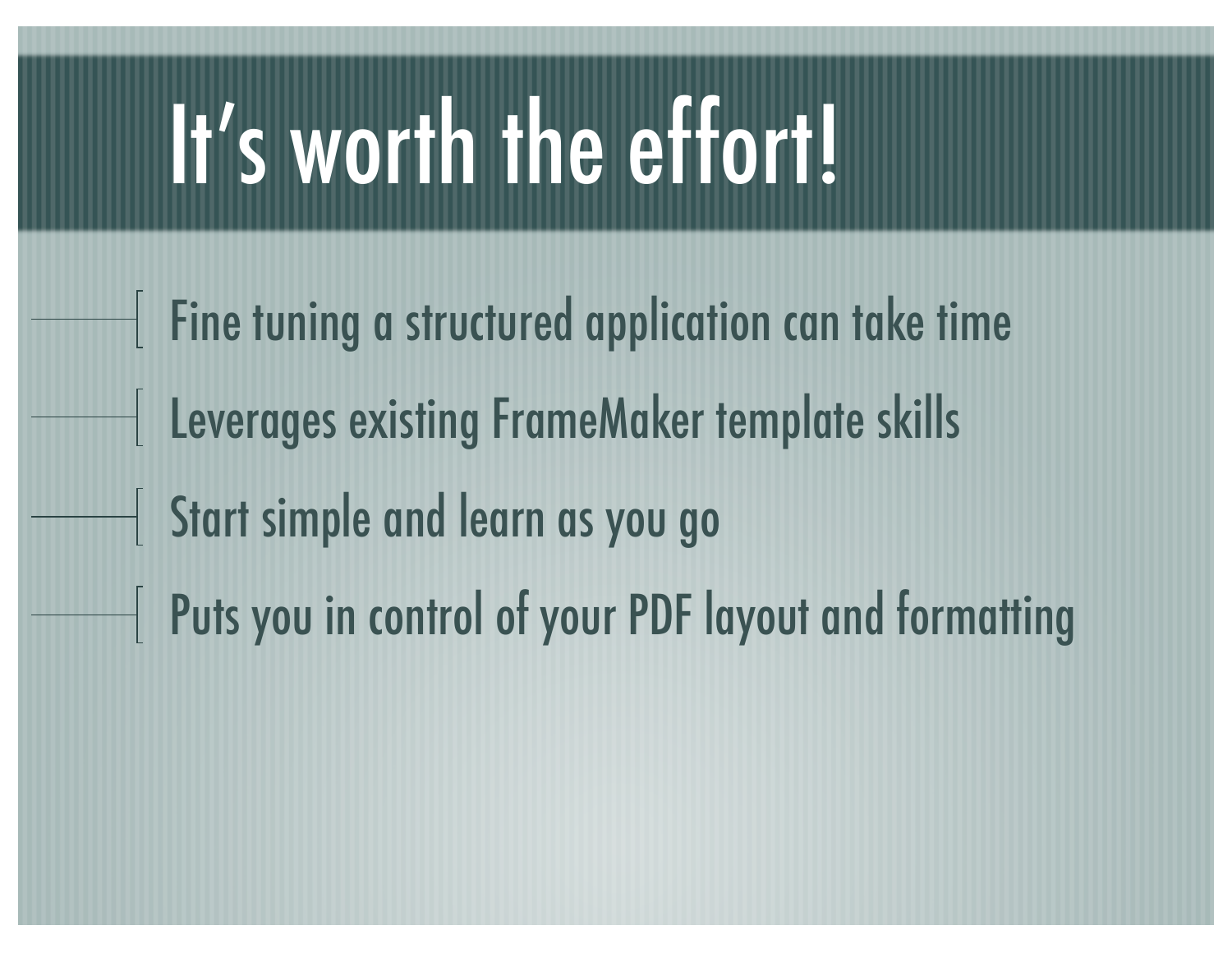## It's worth the effort!

 $\parallel$  Fine tuning a structured application can take time Leverages existing FrameMaker template skills Start simple and learn as you go Puts you in control of your PDF layout and formatting